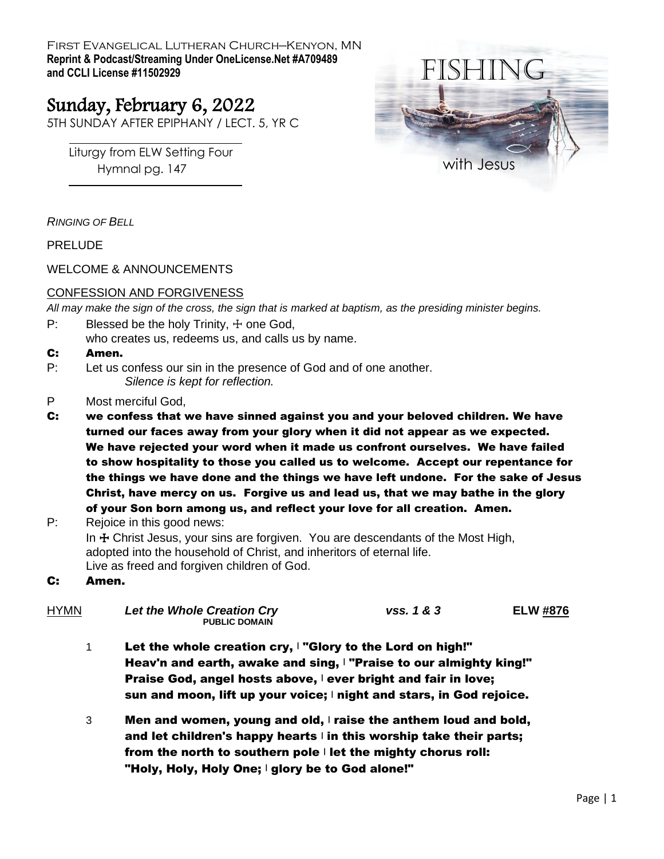First Evangelical Lutheran Church—Kenyon, MN **Reprint & Podcast/Streaming Under OneLicense.Net #A709489 and CCLI License #11502929**

# Sunday, February 6, 2022

5TH SUNDAY AFTER EPIPHANY / LECT. 5, YR C

Liturgy from ELW Setting Four Hymnal pg. 147



*RINGING OF BELL*

PRELUDE

WELCOME & ANNOUNCEMENTS

#### CONFESSION AND FORGIVENESS

*All may make the sign of the cross, the sign that is marked at baptism, as the presiding minister begins.*

- P: Blessed be the holy Trinity,  $\pm$  one God,
- who creates us, redeems us, and calls us by name.

#### C: Amen.

- P: Let us confess our sin in the presence of God and of one another. *Silence is kept for reflection.*
- P Most merciful God,
- C: we confess that we have sinned against you and your beloved children. We have turned our faces away from your glory when it did not appear as we expected. We have rejected your word when it made us confront ourselves. We have failed to show hospitality to those you called us to welcome. Accept our repentance for the things we have done and the things we have left undone. For the sake of Jesus Christ, have mercy on us. Forgive us and lead us, that we may bathe in the glory of your Son born among us, and reflect your love for all creation. Amen.

P: Rejoice in this good news: In  $\pm$  Christ Jesus, your sins are forgiven. You are descendants of the Most High, adopted into the household of Christ, and inheritors of eternal life. Live as freed and forgiven children of God.

#### C: Amen.

| <b>HYMN</b> | Let the Whole Creation Cry<br><b>PUBLIC DOMAIN</b> | vss. 1 & 3 | <b>ELW #876</b> |
|-------------|----------------------------------------------------|------------|-----------------|
|             |                                                    |            |                 |

- 1 Let the whole creation cry, <sup>|</sup> "Glory to the Lord on high!" Heav'n and earth, awake and sing, I "Praise to our almighty king!" Praise God, angel hosts above, I ever bright and fair in love; sun and moon, lift up your voice;  $\vert$  night and stars, in God rejoice.
- 3 Men and women, young and old,  $\vert$  raise the anthem loud and bold, and let children's happy hearts  $\vert$  in this worship take their parts; from the north to southern pole  $\mathsf{I}$  let the mighty chorus roll: "Holy, Holy, Holy One; | glory be to God alone!"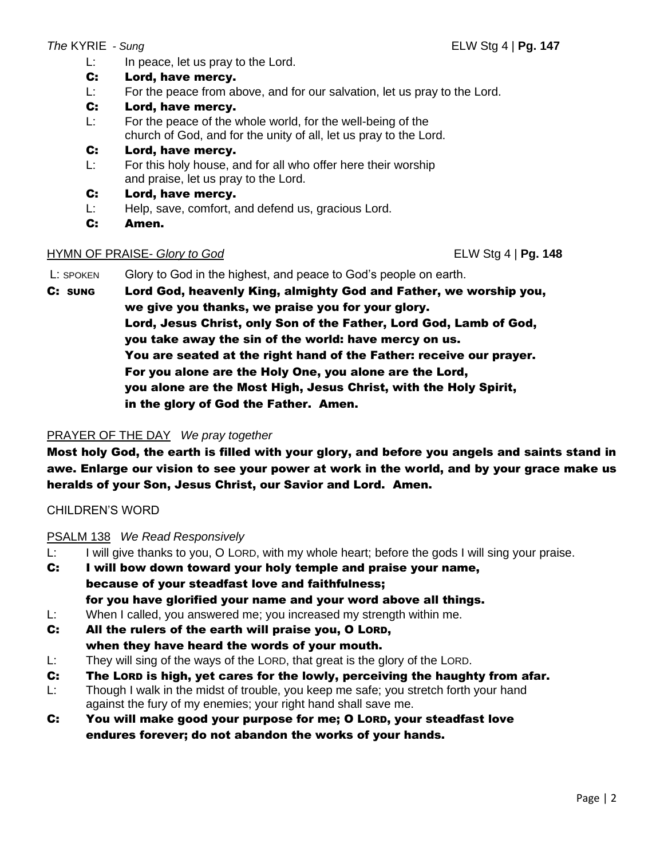L: In peace, let us pray to the Lord.

## C: Lord, have mercy.

- L: For the peace from above, and for our salvation, let us pray to the Lord.
- C: Lord, have mercy.
- L: For the peace of the whole world, for the well-being of the church of God, and for the unity of all, let us pray to the Lord.
- C: Lord, have mercy.
- L: For this holy house, and for all who offer here their worship and praise, let us pray to the Lord.
- C: Lord, have mercy.
- L: Help, save, comfort, and defend us, gracious Lord.
- C: Amen.

### HYMN OF PRAISE- *Glory to God* ELW Stg 4 | **Pg. 148**

L: SPOKEN Glory to God in the highest, and peace to God's people on earth.

C: SUNG Lord God, heavenly King, almighty God and Father, we worship you, we give you thanks, we praise you for your glory. Lord, Jesus Christ, only Son of the Father, Lord God, Lamb of God, you take away the sin of the world: have mercy on us. You are seated at the right hand of the Father: receive our prayer. For you alone are the Holy One, you alone are the Lord, you alone are the Most High, Jesus Christ, with the Holy Spirit, in the glory of God the Father. Amen.

# PRAYER OF THE DAY *We pray together*

Most holy God, the earth is filled with your glory, and before you angels and saints stand in awe. Enlarge our vision to see your power at work in the world, and by your grace make us heralds of your Son, Jesus Christ, our Savior and Lord. Amen.

CHILDREN'S WORD

# PSALM 138 *We Read Responsively*

- L: I will give thanks to you, O LORD, with my whole heart; before the gods I will sing your praise.
- C: I will bow down toward your holy temple and praise your name, because of your steadfast love and faithfulness; for you have glorified your name and your word above all things.
- L: When I called, you answered me; you increased my strength within me.
- C: All the rulers of the earth will praise you, O LORD, when they have heard the words of your mouth.
- L: They will sing of the ways of the LORD, that great is the glory of the LORD.
- C: The LORD is high, yet cares for the lowly, perceiving the haughty from afar.
- L: Though I walk in the midst of trouble, you keep me safe; you stretch forth your hand against the fury of my enemies; your right hand shall save me.
- C: You will make good your purpose for me; O LORD, your steadfast love endures forever; do not abandon the works of your hands.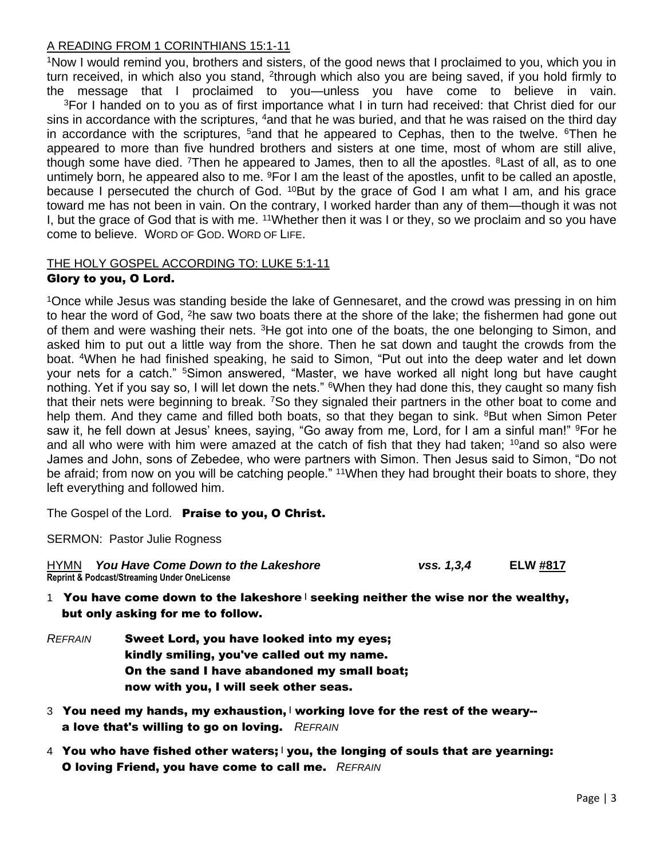#### A READING FROM 1 CORINTHIANS 15:1-11

<sup>1</sup>Now I would remind you, brothers and sisters, of the good news that I proclaimed to you, which you in turn received, in which also you stand, <sup>2</sup>through which also you are being saved, if you hold firmly to the message that I proclaimed to you—unless you have come to believe in vain.

<sup>3</sup>For I handed on to you as of first importance what I in turn had received: that Christ died for our sins in accordance with the scriptures, <sup>4</sup>and that he was buried, and that he was raised on the third day in accordance with the scriptures,  $5$  and that he appeared to Cephas, then to the twelve.  $6$ Then he appeared to more than five hundred brothers and sisters at one time, most of whom are still alive, though some have died. <sup>7</sup>Then he appeared to James, then to all the apostles. <sup>8</sup> Last of all, as to one untimely born, he appeared also to me. <sup>9</sup>For I am the least of the apostles, unfit to be called an apostle, because I persecuted the church of God. <sup>10</sup>But by the grace of God I am what I am, and his grace toward me has not been in vain. On the contrary, I worked harder than any of them—though it was not I, but the grace of God that is with me. <sup>11</sup>Whether then it was I or they, so we proclaim and so you have come to believe. WORD OF GOD. WORD OF LIFE.

#### THE HOLY GOSPEL ACCORDING TO: LUKE 5:1-11 Glory to you, O Lord.

#### <sup>1</sup>Once while Jesus was standing beside the lake of Gennesaret, and the crowd was pressing in on him to hear the word of God, <sup>2</sup>he saw two boats there at the shore of the lake; the fishermen had gone out of them and were washing their nets. <sup>3</sup>He got into one of the boats, the one belonging to Simon, and asked him to put out a little way from the shore. Then he sat down and taught the crowds from the boat. <sup>4</sup>When he had finished speaking, he said to Simon, "Put out into the deep water and let down your nets for a catch." <sup>5</sup>Simon answered, "Master, we have worked all night long but have caught nothing. Yet if you say so, I will let down the nets." <sup>6</sup>When they had done this, they caught so many fish that their nets were beginning to break. <sup>7</sup>So they signaled their partners in the other boat to come and help them. And they came and filled both boats, so that they began to sink. <sup>8</sup>But when Simon Peter saw it, he fell down at Jesus' knees, saying, "Go away from me, Lord, for I am a sinful man!" <sup>9</sup>For he and all who were with him were amazed at the catch of fish that they had taken;  $10$  and so also were James and John, sons of Zebedee, who were partners with Simon. Then Jesus said to Simon, "Do not be afraid; from now on you will be catching people." <sup>11</sup>When they had brought their boats to shore, they left everything and followed him.

The Gospel of the Lord.Praise to you, O Christ.

SERMON: Pastor Julie Rogness

HYMN *You Have Come Down to the Lakeshore vss. 1,3,4* **ELW #817 Reprint & Podcast/Streaming Under OneLicense**

- 1 You have come down to the lakeshore seeking neither the wise nor the wealthy, but only asking for me to follow.
- *REFRAIN* Sweet Lord, you have looked into my eyes; kindly smiling, you've called out my name. On the sand I have abandoned my small boat; now with you, I will seek other seas.
- 3 You need my hands, my exhaustion,  $|$  working love for the rest of the weary-a love that's willing to go on loving. *REFRAIN*
- 4 You who have fished other waters; | you, the longing of souls that are yearning: O loving Friend, you have come to call me. *REFRAIN*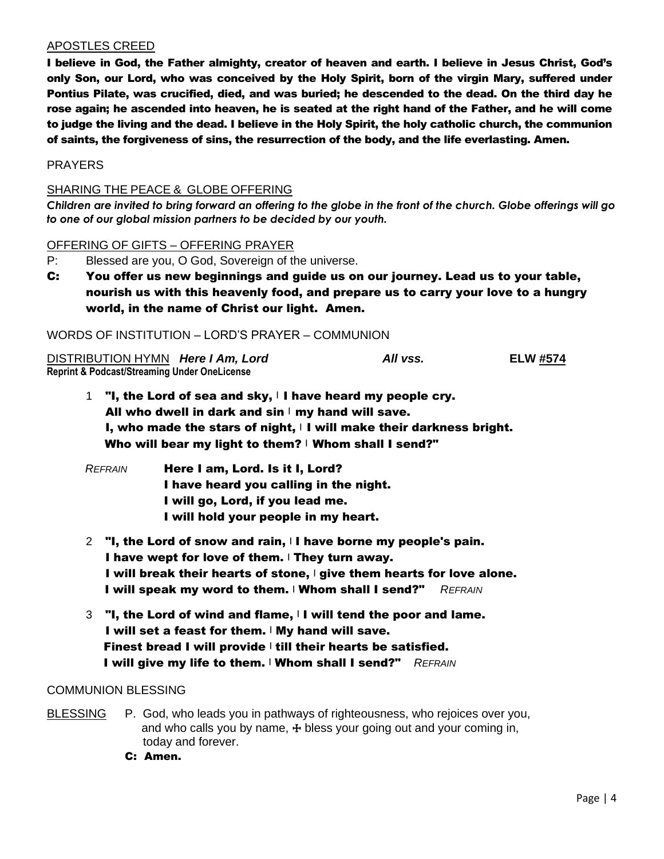#### APOSTLES CREED

I believe in God, the Father almighty, creator of heaven and earth. I believe in Jesus Christ, God's only Son, our Lord, who was conceived by the Holy Spirit, born of the virgin Mary, suffered under Pontius Pilate, was crucified, died, and was buried; he descended to the dead. On the third day he rose again; he ascended into heaven, he is seated at the right hand of the Father, and he will come to judge the living and the dead. I believe in the Holy Spirit, the holy catholic church, the communion of saints, the forgiveness of sins, the resurrection of the body, and the life everlasting. Amen.

#### PRAYERS

#### SHARING THE PEACE & GLOBE OFFERING

*Children are invited to bring forward an offering to the globe in the front of the church. Globe offerings will go to one of our global mission partners to be decided by our youth.*

#### OFFERING OF GIFTS – OFFERING PRAYER

- P: Blessed are you, O God, Sovereign of the universe.
- C: You offer us new beginnings and guide us on our journey. Lead us to your table, nourish us with this heavenly food, and prepare us to carry your love to a hungry world, in the name of Christ our light. Amen.

#### WORDS OF INSTITUTION – LORD'S PRAYER – COMMUNION

DISTRIBUTION HYMN *Here I Am, Lord* **All vss. ELW #574 Reprint & Podcast/Streaming Under OneLicense**

1 "I, the Lord of sea and sky,  $\vert \vert$  have heard my people cry. All who dwell in dark and  $sin \mid my$  hand will save. I, who made the stars of night,  $|I|$  will make their darkness bright. Who will bear my light to them? | Whom shall I send?"

- *REFRAIN* Here I am, Lord. Is it I, Lord? I have heard you calling in the night. I will go, Lord, if you lead me. I will hold your people in my heart.
- 2 "I, the Lord of snow and rain, I have borne my people's pain. I have wept for love of them.  $\vert$  They turn away. I will break their hearts of stone, | give them hearts for love alone. I will speak my word to them. <sup>|</sup> Whom shall I send?" *REFRAIN*
- $3$  "I, the Lord of wind and flame,  $\vert \mathbf{I} \vert$  will tend the poor and lame. I will set a feast for them. I My hand will save. Finest bread I will provide  $\vert$  till their hearts be satisfied. I will give my life to them. <sup>|</sup> Whom shall I send?" *REFRAIN*

#### COMMUNION BLESSING

- BLESSING P. God, who leads you in pathways of righteousness, who rejoices over you, and who calls you by name,  $\pm$  bless your going out and your coming in, today and forever.
	- C: Amen.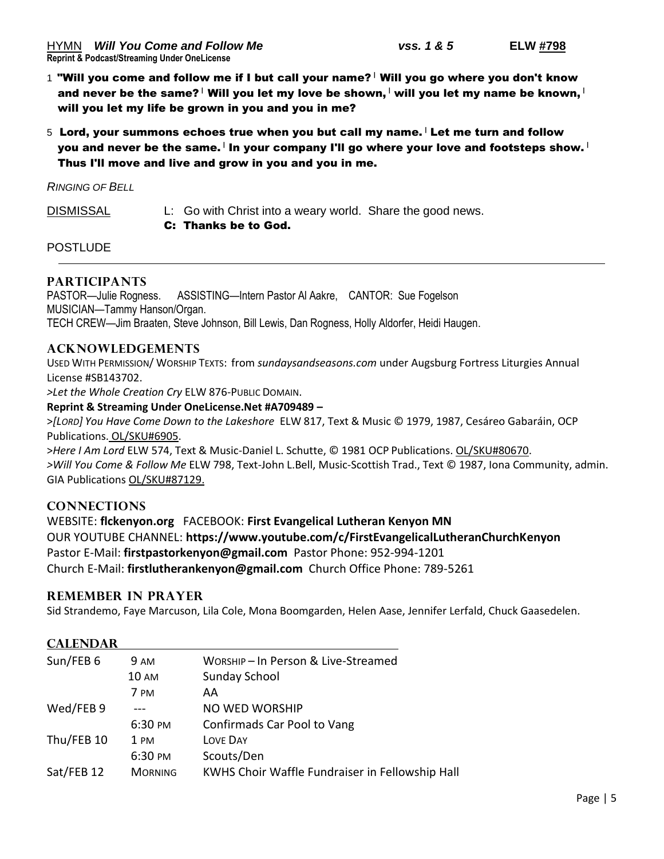- $1$  "Will you come and follow me if I but call your name?  $\vert$  Will you go where you don't know and never be the same?  $\mid$  Will you let my love be shown,  $\mid$  will you let my name be known,  $\mid$ will you let my life be grown in you and you in me?
- $5$  Lord, your summons echoes true when you but call my name.  $\overline{ }$  Let me turn and follow you and never be the same.  $\vert$  in your company I'll go where your love and footsteps show.  $\vert$ Thus I'll move and live and grow in you and you in me.

*RINGING OF BELL*

DISMISSAL L: Go with Christ into a weary world. Share the good news. C: Thanks be to God.

**POSTLUDE** 

#### **PARTICIPANTS**

PASTOR—Julie Rogness. ASSISTING—Intern Pastor Al Aakre, CANTOR: Sue Fogelson MUSICIAN—Tammy Hanson/Organ. TECH CREW—Jim Braaten, Steve Johnson, Bill Lewis, Dan Rogness, Holly Aldorfer, Heidi Haugen.

#### **ACKNOWLEDGEMENTS**

USED WITH PERMISSION/ WORSHIP TEXTS: from *sundaysandseasons.com* under Augsburg Fortress Liturgies Annual License #SB143702.

*>Let the Whole Creation Cry* ELW 876-PUBLIC DOMAIN.

#### **Reprint & Streaming Under OneLicense.Net #A709489 –**

>*[LORD] You Have Come Down to the Lakeshore* ELW 817, Text & Music © 1979, 1987, Cesáreo Gabaráin, OCP Publications. OL/SKU#6905.

>*Here I Am Lord* ELW 574, Text & Music-Daniel L. Schutte, © 1981 OCP Publications. OL/SKU#80670. *>Will You Come & Follow Me* ELW 798, Text-John L.Bell, Music-Scottish Trad., Text © 1987, Iona Community, admin. GIA Publications OL/SKU#87129.

#### **CONNECTIONS**

WEBSITE: **flckenyon.org** FACEBOOK: **First Evangelical Lutheran Kenyon MN** OUR YOUTUBE CHANNEL: **https://www.youtube.com/c/FirstEvangelicalLutheranChurchKenyon** Pastor E-Mail: **[firstpastorkenyon@gmail.com](mailto:firstpastorkenyon@gmail.com)** Pastor Phone: 952-994-1201 Church E-Mail: **[firstlutherankenyon@gmail.com](mailto:firstlutherankenyon@gmail.com)** Church Office Phone: 789-5261

#### **REMEMBER IN PRAYER**

Sid Strandemo, Faye Marcuson, Lila Cole, Mona Boomgarden, Helen Aase, Jennifer Lerfald, Chuck Gaasedelen.

#### **CALENDAR**

| Sun/FEB 6  | 9 AM           | WORSHIP-In Person & Live-Streamed               |
|------------|----------------|-------------------------------------------------|
|            | <b>10 AM</b>   | Sunday School                                   |
|            | 7 PM           | AA                                              |
| Wed/FEB 9  |                | <b>NO WED WORSHIP</b>                           |
|            | 6:30 PM        | Confirmads Car Pool to Vang                     |
| Thu/FEB 10 | 1 PM           | LOVE DAY                                        |
|            | 6:30 PM        | Scouts/Den                                      |
| Sat/FEB 12 | <b>MORNING</b> | KWHS Choir Waffle Fundraiser in Fellowship Hall |
|            |                |                                                 |